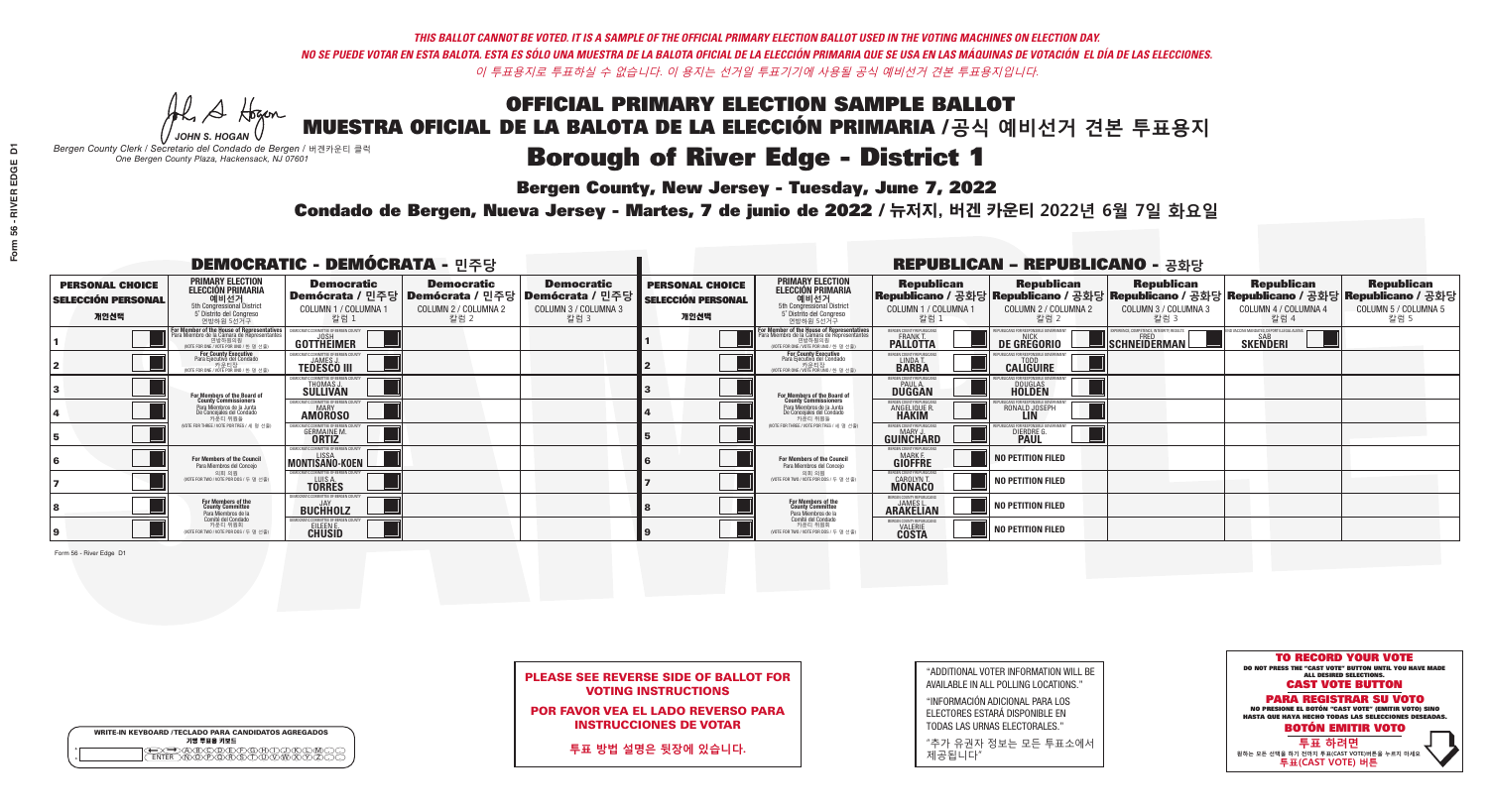A Hogen *JOHN S. HOGAN*

|        | <b>WRITE-IN KEYBOARD /TECLADO PARA CANDIDATOS AGREGADOS</b><br>기명 투표용 키보드 |
|--------|---------------------------------------------------------------------------|
| o<br>o | @®©®©©®®®©©<br>®®®®®®®®®®®®®                                              |

# **Borough of River Edge - District 1**

**Bergen County, New Jersey - Tuesday, June 7, 2022** 

*Bergen County Clerk / Secretario del Condado de Bergen /* 버겐카운티 클럭 *One Bergen County Plaza, Hackensack, NJ 07601*



### PLEASE SEE REVERSE SIDE OF BALLOT FOR VOTING INSTRUCTIONS

POR FAVOR VEA EL LADO REVERSO PARA INSTRUCCIONES DE VOTAR

**투표 방법 설명은 뒷장에 있습니다.**

"ADDITIONAL VOTER INFORMATION WILL BE AVAILABLE IN ALL POLLING LOCATIONS."

"INFORMACIÓN ADICIONAL PARA LOS ELECTORES ESTARÁ DISPONIBLE EN TODAS LAS URNAS ELECTORALES."

"추가 유권자 정보는 모든 투표소에서 제공됩니다"

Condado de Bergen, Nueva Jersey - Martes, 7 de junio de 2022 / 뉴저지, 버겐 카운티 2022년 6월 7일 화요일 *One Bergen County Plaza, Hackensack, NJ 07601*

| <b>DEMOCRATIC - DEMÓCRATA - 민주당</b>                         |                                                                                                                                    |                                                                                                        |                                                   |                                                   |                                                             |                                                                                                                                    |                                                               | <b>REPUBLICAN - REPUBLICANO - 공화당</b>             |                                                                                                                                                |                                                   |                                                   |
|-------------------------------------------------------------|------------------------------------------------------------------------------------------------------------------------------------|--------------------------------------------------------------------------------------------------------|---------------------------------------------------|---------------------------------------------------|-------------------------------------------------------------|------------------------------------------------------------------------------------------------------------------------------------|---------------------------------------------------------------|---------------------------------------------------|------------------------------------------------------------------------------------------------------------------------------------------------|---------------------------------------------------|---------------------------------------------------|
| <b>PERSONAL CHOICE</b><br><b>SELECCIÓN PERSONAL</b><br>개인선택 | <b>PRIMARY ELECTION</b><br><b>ELECCIÓN PRIMARIA</b><br>예비선거<br>5th Congressional District<br>5° Distrito del Congreso<br>연방하원 5선거구 | <b>Democratic</b><br>│Demócrata / 민주당│Demócrata / 민주당│Demócrata / 민주당│<br>COLUMN 1 / COLUMNA 1<br>칼럼 1 | <b>Democratic</b><br>COLUMN 2 / COLUMNA 2<br>칼럼 2 | <b>Democratic</b><br>COLUMN 3 / COLUMNA 3<br>칼럼 3 | <b>PERSONAL CHOICE</b><br><b>SELECCIÓN PERSONAL</b><br>개인선택 | <b>PRIMARY ELECTION</b><br>ELECCIÓN PRIMARIA<br>5th Congressional District<br>5° Distrito del Congreso<br>연방하원 5선거구                | <b>Republican</b><br>COLUMN 1 / COLUMNA 1<br>칼럼               | <b>Republican</b><br>COLUMN 2 / COLUMNA 2<br>칼럼 2 | <b>Republican</b><br>Republicano / 공화당 Republicano / 공화당 Republicano / 공화당 Republicano / 공화당 Republicano / 공화당<br>COLUMN 3 / COLUMNA 3<br>칼럼 3 | <b>Republican</b><br>COLUMN 4 / COLUMNA 4<br>칼럼 4 | <b>Republican</b><br>COLUMN 5 / COLUMNA 5<br>칼럼 5 |
|                                                             | For Member of the House of Representatives<br>Para Miembro de la Cámara de Representantes                                          | <b>GOTTHEIMER</b>                                                                                      |                                                   |                                                   |                                                             | For Member of the House of Representatives<br>Para Miembro de la Cámara de Representantes<br>(VOTE FOR ONE / VOTE POR UNO / 한 명 선출 | ERGEN COUNTY REPUBLICAN<br><b>PALLOTTA</b>                    | DE GREGORIO                                       | SCHNEIDERMAN                                                                                                                                   | <b>SKENDERI</b>                                   |                                                   |
|                                                             | <b>For County Executive</b><br>Para Ejecutivo del Condado<br>NOTE FOR ONE / VOTE POR UNO / 한 명 선출)                                 | <b>TEDESCO III</b>                                                                                     |                                                   |                                                   |                                                             | For County Executive<br>Para Ejecutivo del Condado<br>WOTE FOR ONE / VOTE POR UNO / 한 명 선출                                         | ERGEN COUNTY REPUBLICAN<br>LINDAT.                            | <b>CALIGUIRE</b>                                  |                                                                                                                                                |                                                   |                                                   |
|                                                             | <b>For Members of the Board of<br/>County Commissioners</b>                                                                        | MOCRATIC COMMITTEE OF BERGEN COUN'<br>THOMAS J.                                                        |                                                   |                                                   |                                                             | For Members of the Board of<br>County Commissioners                                                                                | ERGEN COUNTY REPUBLICAN<br><b>DUGGAN</b>                      | <b>DOUGLAS</b><br><b>HOLDEN</b>                   |                                                                                                                                                |                                                   |                                                   |
|                                                             | Para Miembros de la Junta<br>De Concejales del Condado<br>카운티 위원들                                                                  | MOCRATIC COMMITTEE OF BERGEN COUNT<br><b>AMOROSO</b>                                                   |                                                   |                                                   |                                                             | Para Miembros de la Junta<br>De Concejales del Condado<br>카우티 위원들                                                                  | ERGEN COUNTY REPUBLICAN<br><b>ANGELIQUE F</b><br><b>HAKIM</b> | RONALD JOSEPH                                     |                                                                                                                                                |                                                   |                                                   |
|                                                             | NOTE FOR THREE / VOTE POR TRES / 세 명 선출)                                                                                           | <b>GERMAINE M.</b>                                                                                     |                                                   |                                                   |                                                             | NOTE FOR THREE / VOTE POR TRES / 세 명 선출)                                                                                           | ERGEN COUNTY REPUBLICAN<br>MARY .I<br>GUINCHARD               | <b>DIERDRE G</b><br><b>PAUL</b>                   |                                                                                                                                                |                                                   |                                                   |
|                                                             | <b>For Members of the Council</b><br>Para Miembros del Conceio                                                                     | EMOCRATIC COMMITTEE OF BERGEN COUNTY<br>MONTISANO-KOEN                                                 |                                                   |                                                   |                                                             | <b>For Members of the Council</b><br>Para Miembros del Conceio                                                                     | BERGEN COUNTY REPUBLICANS<br><b>GIOFFRE</b>                   | NO PETITION FILED                                 |                                                                                                                                                |                                                   |                                                   |
|                                                             | 의회 의원<br>(VOTE FOR TWO / VOTE POR DOS / 두 명 선출)                                                                                    | )EMOCRATIC COMMITTEE OF BERGEN COUNTY<br><b>TORRES</b>                                                 |                                                   |                                                   |                                                             | 의회 의원<br>NOTE FOR TWO / VOTE POR DOS / 두 명 선출)                                                                                     | ERGEN COUNTY REPUBLICAN<br><b>CAROLYN T.</b><br><b>MONACO</b> | $\ \ $ NO PETITION FILED                          |                                                                                                                                                |                                                   |                                                   |
|                                                             | For Members of the<br>County Committee<br>Para Miembros de la                                                                      | MOCRATIC COMMITTEE OF BERGEN COUNT<br><b>BUCHHOLZ</b>                                                  |                                                   |                                                   |                                                             | For Members of the<br>County Committee<br>Para Miembros de la<br>Comité del Condado                                                | BERGEN COUNTY REPUBLICAN<br><b>ARAKELIAN</b>                  | $\ \ $ NO PETITION FILED                          |                                                                                                                                                |                                                   |                                                   |
|                                                             | Comité del Condado<br>카운티 위원회<br>(VOTE FOR TWO / VOTE POR DOS / 두 명 선출)                                                            | MOCRATIC COMMITTEE OF BERGEN COUNT<br><b>CHUSID</b>                                                    |                                                   |                                                   |                                                             | 카운티 위원회<br>NOTE FOR TWO / VOTE POR DOS / 두 명 선출)                                                                                   | ERGEN COUNTY REPUBLICAN<br><b>VALERIE</b>                     | $\ \cdot\ $ NO PETITION FILED                     |                                                                                                                                                |                                                   |                                                   |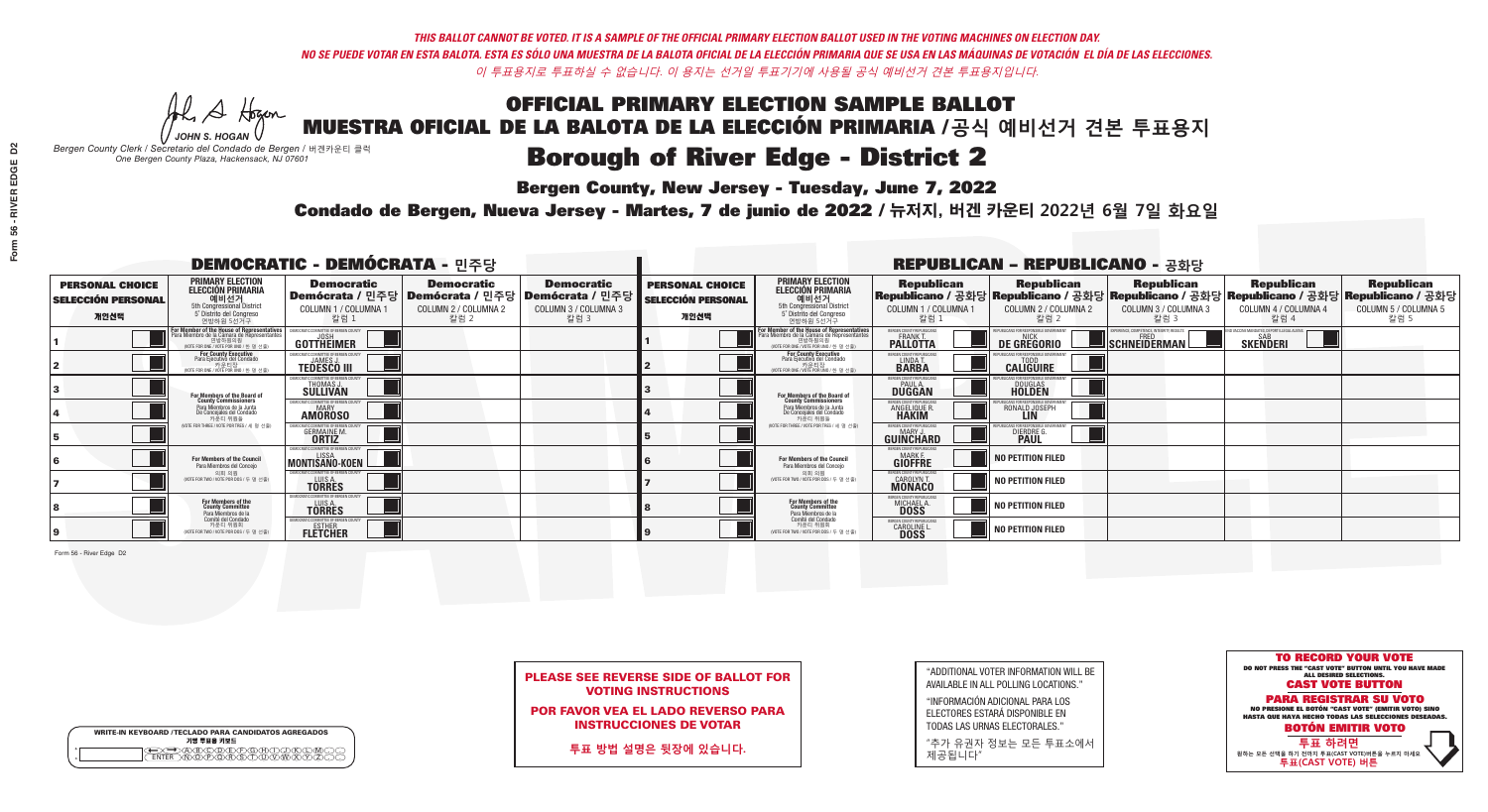A Hogen *JOHN S. HOGAN*

| <b>WRITE-IN KEYBOARD /TECLADO PARA CANDIDATOS AGREGADOS</b><br>기명 투표용 키보드 |  |
|---------------------------------------------------------------------------|--|
| A)B)C)D)E)(F)(G)(H)(1<br><u>ጒ፝፟፟፟</u> ፟፝፟፟፟፝ዀ፝ዀ፝፟ዀ                        |  |

# **Borough of River Edge - District 2**

**Bergen County, New Jersey - Tuesday, June 7, 2022** 

*Bergen County Clerk / Secretario del Condado de Bergen /* 버겐카운티 클럭 *One Bergen County Plaza, Hackensack, NJ 07601*



PLEASE SEE REVERSE SIDE OF BALLOT FOR VOTING INSTRUCTIONS

POR FAVOR VEA EL LADO REVERSO PARA INSTRUCCIONES DE VOTAR

**투표 방법 설명은 뒷장에 있습니다.**

| "ADDITIONAL VOTER INFORMATION WILL BE |
|---------------------------------------|
| AVAILABLE IN ALL POLLING LOCATIONS."  |

"INFORMACIÓN ADICIONAL PARA LOS ELECTORES ESTARÁ DISPONIBLE EN TODAS LAS URNAS ELECTORALES."

"추가 유권자 정보는 모든 투표소에서 제공됩니다"

Condado de Bergen, Nueva Jersey - Martes, 7 de junio de 2022 / 뉴저지, 버겐 카운티 2022년 6월 7일 화요일 *One Bergen County Plaza, Hackensack, NJ 07601*

| <b>DEMOCRATIC - DEMÓCRATA - 민주당</b>                         |                                                                                                                                    |                                                                            |                                                   |                                                                                                        |                                                             |                                                                                                                                    |                                                                 | <b>REPUBLICAN - REPUBLICANO - 공화당</b>                                                                                                          |                                                   |                                                   |                                                   |
|-------------------------------------------------------------|------------------------------------------------------------------------------------------------------------------------------------|----------------------------------------------------------------------------|---------------------------------------------------|--------------------------------------------------------------------------------------------------------|-------------------------------------------------------------|------------------------------------------------------------------------------------------------------------------------------------|-----------------------------------------------------------------|------------------------------------------------------------------------------------------------------------------------------------------------|---------------------------------------------------|---------------------------------------------------|---------------------------------------------------|
| <b>PERSONAL CHOICE</b><br><b>SELECCIÓN PERSONAL</b><br>개인선택 | <b>PRIMARY ELECTION</b><br><b>ELECCIÓN PRIMARIA</b><br>예비선거<br>5th Congressional District<br>5° Distrito del Congreso<br>연방하원 5선거구 | <b>Democratic</b><br>COLUMN 1 / COLUMNA 1<br>칼럼 1                          | <b>Democratic</b><br>COLUMN 2 / COLUMNA 2<br>칼럼 2 | <b>Democratic</b><br>│Demócrata / 민주당│Demócrata / 민주당│Demócrata / 민주당┃<br>COLUMN 3 / COLUMNA 3<br>칼럼 3 | <b>PERSONAL CHOICE</b><br><b>SELECCIÓN PERSONAL</b><br>개인선택 | <b>PRIMARY ELECTION</b><br><b>ELECCIÓN PRIMARIA</b><br>예비선거<br>5th Congressional District<br>5° Distrito del Congreso<br>연방하원 5선거구 | <b>Republican</b><br>COLUMN 1 / COLUMNA 1<br>칼럼 1               | <b>Republican</b><br>Republicano / 공화당 Republicano / 공화당 Republicano / 공화당 Republicano / 공화당 Republicano / 공화당<br>COLUMN 2 / COLUMNA 2<br>칼럼 2 | <b>Republican</b><br>COLUMN 3 / COLUMNA 3<br>칼럼 3 | <b>Republican</b><br>COLUMN 4 / COLUMNA 4<br>칼럼 4 | <b>Republican</b><br>COLUMN 5 / COLUMNA 5<br>칼럼 5 |
|                                                             | For Member of the House of Representatives<br>Para Miembro de la Cámara de Representantes                                          | <b>GOTTHEIMER</b>                                                          |                                                   |                                                                                                        |                                                             | For Member of the House of Representatives<br>Para Miembro de la Cámara de Representantes<br>NOTE FOR ONE / VOTE POR UNO / 한 명 선출  | ERGEN COUNTY REPUBLICAN®<br><b>PALLOTTA</b>                     | DE GREGORIO                                                                                                                                    | SCHNEIDERMAN                                      | <b>SKENDERI</b>                                   |                                                   |
|                                                             | <b>For County Executive</b><br>Para Ejecutivo del Condado<br>WOTE FOR ONE / VOTE POR UNO / 한 명 선출)                                 | <b>TEDESCO III</b>                                                         |                                                   |                                                                                                        |                                                             | <b>For County Executive</b><br>Para Ejecutivo del Condado<br>키운티상<br>NOTE FOR ONE /VOTE POR UNO / 한 명 선출                           | BERGEN COUNTY REPUBLICAN<br>LINDA T.                            | <b>CALIGUIRE</b>                                                                                                                               |                                                   |                                                   |                                                   |
|                                                             | <b>For Members of the Board of<br/>County Commissioners</b>                                                                        | EMOCRATIC COMMITTEE OF BERGEN COUNT<br><b>THOMAS J.</b><br><b>SULLIVAN</b> |                                                   |                                                                                                        |                                                             | For Members of the Board of<br>County Commissioners                                                                                | ERGEN COUNTY REPUBLICAN<br><b>DUGGAN</b>                        | <b>DOUGLAS</b>                                                                                                                                 |                                                   |                                                   |                                                   |
|                                                             | Para Miembros de la Junta<br>De Concejales del Condado<br>카운티 위원들                                                                  | MOCRATIC COMMITTEE OF BERGEN COUNT<br><b>AMOROSO</b>                       |                                                   |                                                                                                        |                                                             | Para Miembros de la Junta<br>De Concejales del Condado<br>카운티 위원들                                                                  | ERGEN COUNTY REPUBLICAN<br><b>ANGELIQUE R</b><br><b>HAKIM</b>   | RONALD JOSEPH                                                                                                                                  |                                                   |                                                   |                                                   |
|                                                             | (VOTE FOR THREE / VOTE POR TRES / 세 명 선출)                                                                                          | <b>GERMAINE M.</b>                                                         |                                                   |                                                                                                        |                                                             | (VOTE FOR THREE / VOTE POR TRES / 세 명 선출)                                                                                          | ERGEN COUNTY REPUBLICAN:<br>GUIÑCHARD                           | <b>DIERDRE</b>                                                                                                                                 |                                                   |                                                   |                                                   |
|                                                             | <b>For Members of the Council</b><br>Para Miembros del Conceio                                                                     | EMOCRATIC COMMITTEE OF BERGEN COUNTY<br>MONTISANO-KOEN                     |                                                   |                                                                                                        |                                                             | For Members of the Council<br>Para Miembros del Conceio                                                                            | BERGEN COUNTY REPUBLICANS<br><b>GIOFFRE</b>                     | NO PETITION FILED                                                                                                                              |                                                   |                                                   |                                                   |
|                                                             | 의회 의원<br>(VOTE FOR TWO / VOTE POR DOS / 두 명 선출)                                                                                    | )EMOCRATIC COMMITTEE OF BERGEN COUNTY<br><b>TORRES</b>                     |                                                   |                                                                                                        |                                                             | 의회 의원<br>NOTE FOR TWO / VOTE POR DOS / 두 명 선출)                                                                                     | BERGEN COUNTY REPUBLICANS<br><b>CAROLYN T.</b><br><b>MONACO</b> | $\ $ NO PETITION FILED                                                                                                                         |                                                   |                                                   |                                                   |
|                                                             | For Members of the<br>County Committee<br>Para Miembros de la                                                                      | OCRATIC COMMITTEE OF BERGEN COUN<br><b>TORRES</b>                          |                                                   |                                                                                                        |                                                             | For Members of the<br>County Committee<br>Para Miembros de la<br>Comité del Condado                                                | BERGEN COUNTY REPUBLICAN<br>MICHAEL A.                          | NO PETITION FILED                                                                                                                              |                                                   |                                                   |                                                   |
|                                                             | Comité del Condado<br>카운티 위원회<br>(VOTE FOR TWO / VOTE POR DOS / 두 명 선출)                                                            | MOCRATIC COMMITTEE OF BERGEN COUNT<br>ESTHER<br>FLETCHER                   |                                                   |                                                                                                        |                                                             | 카운티 위원회<br>(VOTE FOR TWO / VOTE POR DOS / 두 명 선출)                                                                                  | BERGEN COUNTY REPUBLICAN<br><b>CAROLINE L</b>                   | $\ $ NO PETITION FILED                                                                                                                         |                                                   |                                                   |                                                   |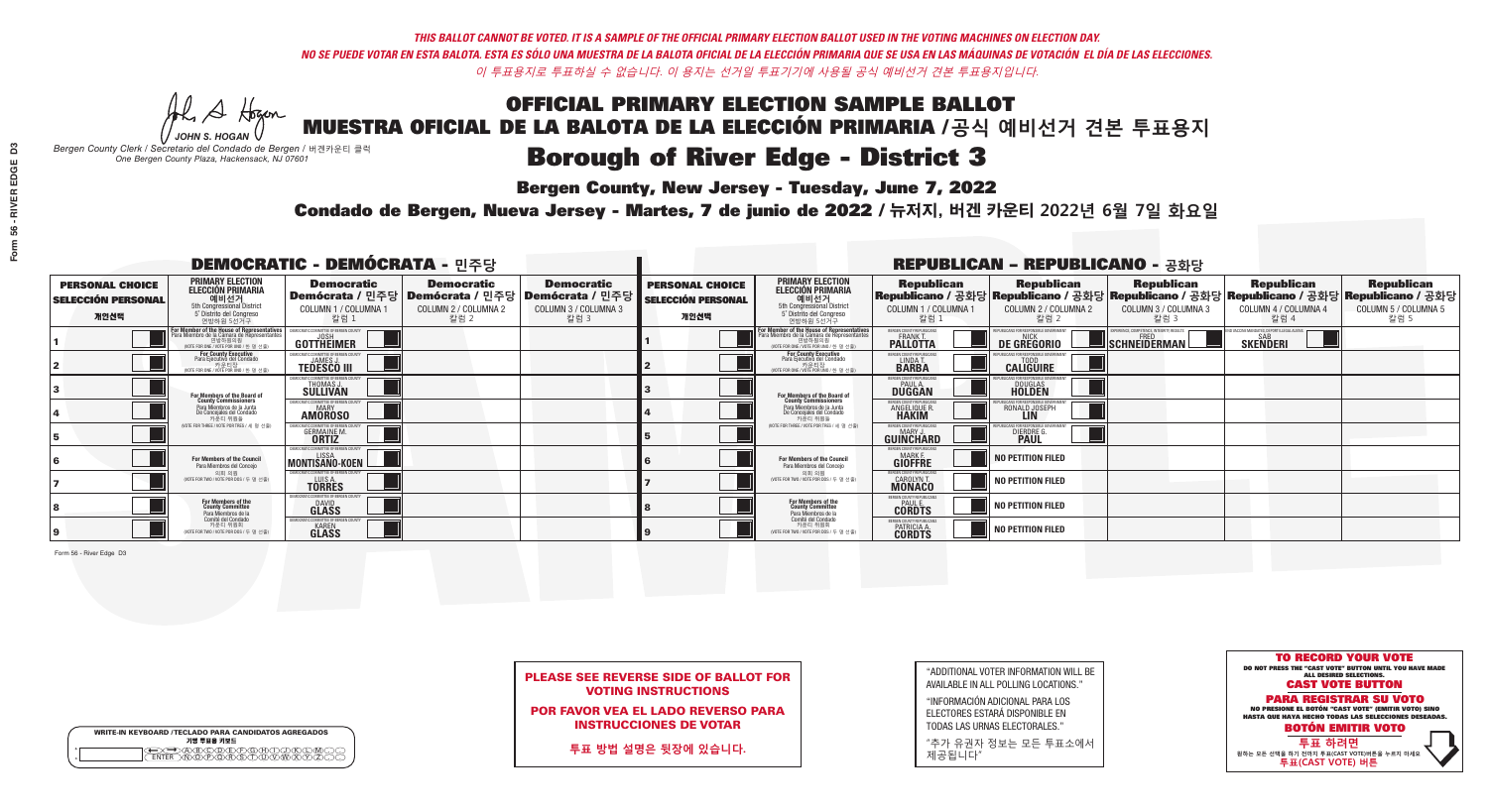A Hogen *JOHN S. HOGAN*

| <b>WRITE-IN KEYBOARD /TECLADO PARA CANDIDATOS AGREGADOS</b><br>기명 투표용 키보드 |  |
|---------------------------------------------------------------------------|--|
| A)B)C)D)E)(F)(G)(H)(1<br><u>ጒ፝፟፟፟</u> ፟፝፟፟፟፝ዀ፝ዀ፝፟ዀ                        |  |

# **Borough of River Edge - District 3**

**Bergen County, New Jersey - Tuesday, June 7, 2022** 

*Bergen County Clerk / Secretario del Condado de Bergen /* 버겐카운티 클럭 *One Bergen County Plaza, Hackensack, NJ 07601*



PLEASE SEE REVERSE SIDE OF BALLOT FOR VOTING INSTRUCTIONS

POR FAVOR VEA EL LADO REVERSO PARA INSTRUCCIONES DE VOTAR

**투표 방법 설명은 뒷장에 있습니다.**

| "ADDITIONAL VOTER INFORMATION WILL BE |
|---------------------------------------|
| AVAILABLE IN ALL POLLING LOCATIONS."  |

"INFORMACIÓN ADICIONAL PARA LOS ELECTORES ESTARÁ DISPONIBLE EN TODAS LAS URNAS ELECTORALES."

"추가 유권자 정보는 모든 투표소에서 제공됩니다"

Condado de Bergen, Nueva Jersey - Martes, 7 de junio de 2022 / 뉴저지, 버겐 카운티 2022년 6월 7일 화요일 *One Bergen County Plaza, Hackensack, NJ 07601*

| <b>DEMOCRATIC - DEMÓCRATA - 민주당</b>                         |                                                                                                                                               |                                                                  |                                                   |                                                                                                              |                                                             |                                                                                                                                              |                                                                 | <b>REPUBLICAN - REPUBLICANO - 공화당</b>             |                                                                                                                                                |                                                               |                                                   |
|-------------------------------------------------------------|-----------------------------------------------------------------------------------------------------------------------------------------------|------------------------------------------------------------------|---------------------------------------------------|--------------------------------------------------------------------------------------------------------------|-------------------------------------------------------------|----------------------------------------------------------------------------------------------------------------------------------------------|-----------------------------------------------------------------|---------------------------------------------------|------------------------------------------------------------------------------------------------------------------------------------------------|---------------------------------------------------------------|---------------------------------------------------|
| <b>PERSONAL CHOICE</b><br><b>SELECCIÓN PERSONAL</b><br>개인선택 | <b>PRIMARY ELECTION</b><br><b>ELECCIÓN PRIMARIA</b><br>예비선거<br>5th Congressional District<br>5° Distrito del Congreso<br>연방하원 5선거구            | <b>Democratic</b><br>COLUMN 1 / COLUMNA 1<br>칼럼 1                | <b>Democratic</b><br>COLUMN 2 / COLUMNA 2<br>칼럼 2 | <b>Democratic</b><br>  Demócrata / 민주당   Demócrata / 민주당   Demócrata / 민주당  <br>COLUMN 3 / COLUMNA 3<br>칼럼 3 | <b>PERSONAL CHOICE</b><br><b>SELECCIÓN PERSONAL</b><br>개인선택 | <b>PRIMARY ELECTION</b><br><b>ELECCIÓN PRIMARIA</b><br>예비선거<br>5th Congressional District<br>5° Distrito del Congreso<br>연방하원 5선거구           | <b>Republican</b><br>COLUMN 1 / COLUMNA 1<br>칼럼 :               | <b>Republican</b><br>COLUMN 2 / COLUMNA 2<br>칼럼 2 | <b>Republican</b><br>Republicano / 공화당 Republicano / 공화당 Republicano / 공화당 Republicano / 공화당 Republicano / 공화당<br>COLUMN 3 / COLUMNA 3<br>칼럼 3 | <b>Republican</b><br>COLUMN 4 / COLUMNA 4<br>칼럼 4             | <b>Republican</b><br>COLUMN 5 / COLUMNA 5<br>칼럼 5 |
|                                                             | For Member of the House of Representatives<br>Para Miembro de la Cámara de Representantes<br>연방하원의원<br>(VOTE FOR ONE / VOTE POR UNO / 한 명 선출) | <b>GOTTHEIMER</b>                                                |                                                   |                                                                                                              |                                                             | For Member of the House of Representatives<br>Para Miembro de la Cámara de Representantes<br>연방하원의원<br>(VOTE FOR ONE / VOTE POR UNO / 한 명 선출 | ERGEN COUNTY REPUBLICAN:<br><b>PALLOTTA</b>                     | DE GREGORIO                                       | SCHNEIDERMAN                                                                                                                                   | ) VACCINE MANDATES, DEPORT ILLEGAL ALIENS.<br><b>SKENDERI</b> |                                                   |
|                                                             | <b>For County Executive</b><br>Para Ejecutivo del Condado<br>가운티장<br>(VOTE FOR ONE / VOTE POR UNO / 한 명 선출)                                   | )FMOCRATIC COMMITTEE OF BERGEN COUNT<br><b>TEDESCO III</b>       |                                                   |                                                                                                              |                                                             | <b>For County Executive</b><br>Para Ejecutivo del Condado<br>카운티상<br>(VOTE FOR ONE / VOTE POR UNO / 한 명 선출)                                  | BERGEN COUNTY REPUBLICAN:<br>LINDAT.                            | <b>CALIGUIRE</b>                                  |                                                                                                                                                |                                                               |                                                   |
|                                                             | <b>For Members of the Board of<br/>County Commissioners</b>                                                                                   | MOCRATIC COMMITTEE OF BERGEN COUNTY<br>THOMAS J.                 |                                                   |                                                                                                              |                                                             | For Members of the Board of<br>County Commissioners                                                                                          | ERGEN COUNTY REPUBLICAN:<br><b>PAUL A.</b><br><b>DUGGAN</b>     | <b>DOUGLAS</b><br><b>HOLDEN</b>                   |                                                                                                                                                |                                                               |                                                   |
|                                                             | Para Miembros de la Junta<br>De Concejales del Condado<br>카운티 위원들                                                                             | EMOCRATIC COMMITTEE OF BERGEN COUNTY<br><b>AMOROSO</b>           |                                                   |                                                                                                              |                                                             | Para Miembros de la Junta<br>De Concejales del Condado<br>카운티 위원들                                                                            | ERGEN COUNTY REPUBLICAN<br><b>ANGELIQUE R</b><br><b>HAKIM</b>   | RONALD JOSEPH<br><b>LIN</b>                       |                                                                                                                                                |                                                               |                                                   |
|                                                             | (VOTE FOR THREE / VOTE POR TRES / 세 명 선출                                                                                                      | ATIC COMMITTEE OF BERGEN COUNT<br><b>GERMAINE M.</b>             |                                                   |                                                                                                              |                                                             | NOTE FOR THREE / VOTE POR TRES / 세 명 선출!                                                                                                     | ERGEN COUNTY REPUBLICANS<br>MARY J.<br>GUINCHARD                | <b>DIERDRE</b>                                    |                                                                                                                                                |                                                               |                                                   |
|                                                             | <b>For Members of the Council</b><br>Para Miembros del Conceio                                                                                | EMOCRATIC COMMITTEE OF BERGEN COUNTY<br>MONTISANO-KOEN           |                                                   |                                                                                                              |                                                             | For Members of the Council<br>Para Miembros del Conceio                                                                                      | BERGEN COUNTY REPUBLICANS<br><b>GIOFFRE</b>                     | <b>NO PETITION FILED</b>                          |                                                                                                                                                |                                                               |                                                   |
|                                                             | 의회 의원<br>(VOTE FOR TWO / VOTE POR DOS / 두 명 선출)                                                                                               | JEMOCRATIC COMMITTEE OF BERGEN COUNTY<br><b>TORRES</b>           |                                                   |                                                                                                              |                                                             | 의회 의원<br>(VOTE FOR TWO / VOTE POR DOS / 두 명 선출)                                                                                              | BERGEN COUNTY REPUBLICANS<br><b>CAROLYN T.</b><br><b>MONACO</b> | $\ $ NO PETITION FILED                            |                                                                                                                                                |                                                               |                                                   |
|                                                             | For Members of the<br>County Committee<br>Para Miembros de la                                                                                 | OCRATIC COMMITTEE OF BERGEN COUNT<br>DAVID<br>GLASS              |                                                   |                                                                                                              |                                                             | For Members of the<br>County Committee<br>Para Miembros de la<br>Comité del Condado                                                          | ERGEN COUNTY REPUBLICAN:<br><b>CORDTS</b>                       | <b>NO PETITION FILED</b>                          |                                                                                                                                                |                                                               |                                                   |
|                                                             | Comité del Condado<br>카운티 위원회<br>(VOTE FOR TWO / VOTE POR DOS / 두 명 선출)                                                                       | <b>CRATIC COMMITTEE OF BERGEN COUNT</b><br><b>KAREN</b><br>GLASS |                                                   |                                                                                                              |                                                             | 카운티 위원회<br>(VOTE FOR TWO / VOTE POR DOS / 두 명 선출)                                                                                            | BERGEN COUNTY REPUBLICAN<br>PATRICIA A.                         | $\ $ NO PETITION FILED                            |                                                                                                                                                |                                                               |                                                   |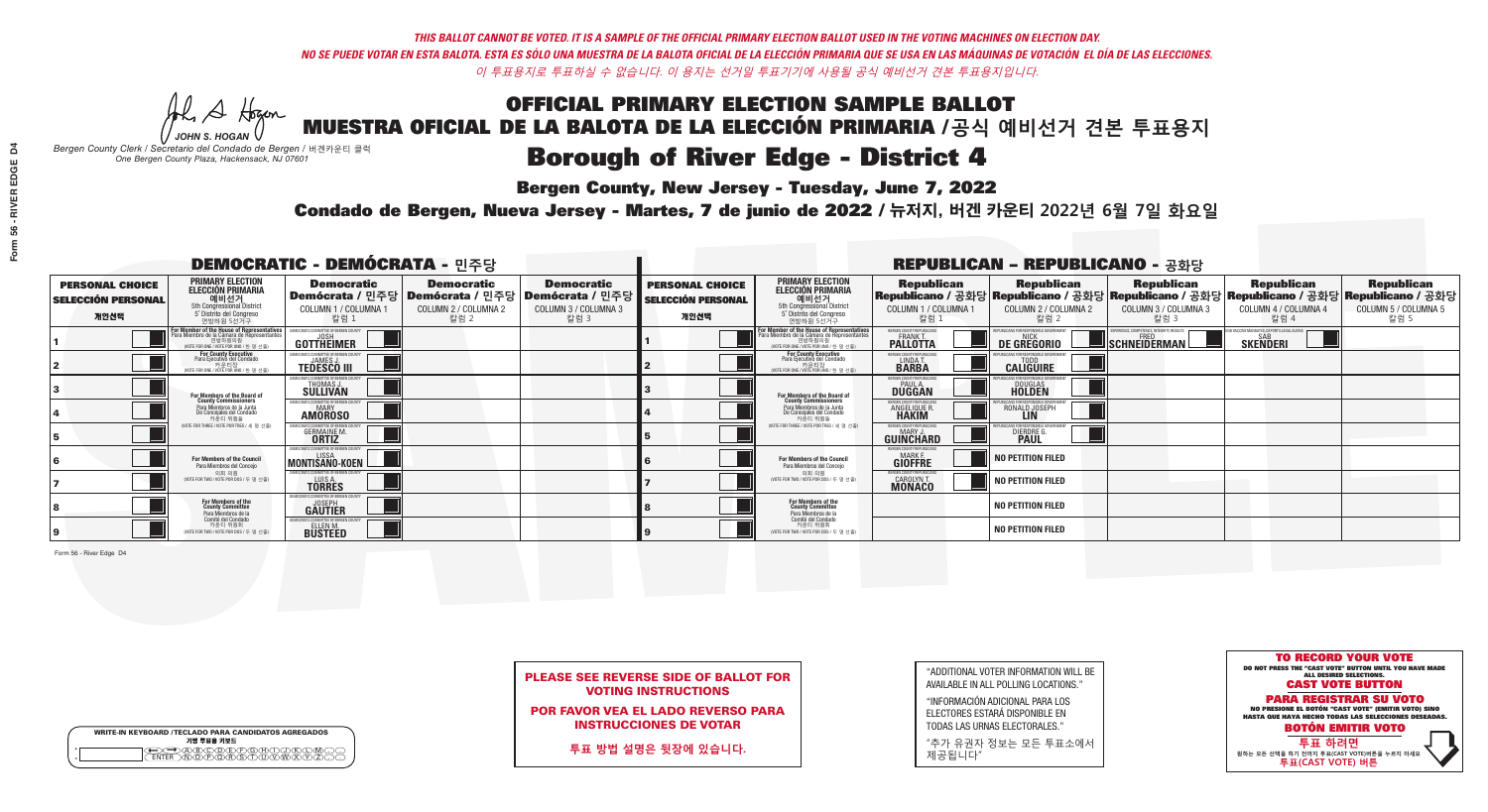A Hogen *JOHN S. HOGAN*

| <b>WRITE-IN KEYBOARD /TECLADO PARA CANDIDATOS AGREGADOS</b><br>기명 투표용 키보드 |  |
|---------------------------------------------------------------------------|--|
| A)B)C)D)E)(F)(G)(H)(1<br><u>ጒ፝፟፟፟</u> ፟፝፟፟፟፝ዀ፝ዀ፝፟ዀ                        |  |

# **Borough of River Edge - District 4**

**Bergen County, New Jersey - Tuesday, June 7, 2022** 

*Bergen County Clerk / Secretario del Condado de Bergen /* 버겐카운티 클럭 *One Bergen County Plaza, Hackensack, NJ 07601*

Condado de Bergen, Nueva Jersey - Martes, 7 de junio de 2022 / 뉴저지, 버겐 카운티 2022년 6월 7일 화요일 *One Bergen County Plaza, Hackensack, NJ 07601*



PLEASE SEE REVERSE SIDE OF BALLOT FOR VOTING INSTRUCTIONS

POR FAVOR VEA EL LADO REVERSO PARA INSTRUCCIONES DE VOTAR

**투표 방법 설명은 뒷장에 있습니다.**

| "ADDITIONAL VOTER INFORMATION WILL BE |
|---------------------------------------|
| AVAILABLE IN ALL POLLING LOCATIONS."  |
|                                       |

"INFORMACIÓN ADICIONAL PARA LOS ELECTORES ESTARÁ DISPONIBLE EN TODAS LAS URNAS ELECTORALES."

"추가 유권자 정보는 모든 투표소에서 제공됩니다"

| <b>DEMOCRATIC - DEMÓCRATA - 민주당</b>                         |                                                                                                                                    |                                                                            |                                                   |                                                                                                        |                                                             |                                                                                                                                               |                                                                 | <b>REPUBLICAN - REPUBLICANO - 공화당</b>                                                                                                          |                                                   |                                                   |                                                   |
|-------------------------------------------------------------|------------------------------------------------------------------------------------------------------------------------------------|----------------------------------------------------------------------------|---------------------------------------------------|--------------------------------------------------------------------------------------------------------|-------------------------------------------------------------|-----------------------------------------------------------------------------------------------------------------------------------------------|-----------------------------------------------------------------|------------------------------------------------------------------------------------------------------------------------------------------------|---------------------------------------------------|---------------------------------------------------|---------------------------------------------------|
| <b>PERSONAL CHOICE</b><br><b>SELECCIÓN PERSONAL</b><br>개인선택 | <b>PRIMARY ELECTION</b><br><b>ELECCIÓN PRIMARIA</b><br>예비선거<br>5th Congressional District<br>5° Distrito del Congreso<br>연방하원 5선거구 | <b>Democratic</b><br>COLUMN 1 / COLUMNA 1<br>칼럼 1                          | <b>Democratic</b><br>COLUMN 2 / COLUMNA 2<br>칼럼 2 | <b>Democratic</b><br>│Demócrata / 민주당│Demócrata / 민주당│Demócrata / 민주당┃<br>COLUMN 3 / COLUMNA 3<br>칼럼 3 | <b>PERSONAL CHOICE</b><br><b>SELECCIÓN PERSONAL</b><br>개인선택 | <b>PRIMARY ELECTION</b><br><b>ELECCIÓN PRIMARIA</b><br>예비선거<br>5th Congressional District<br>5° Distrito del Congreso<br>연방하원 5선거구            | <b>Republican</b><br>COLUMN 1 / COLUMNA 1<br>칼럼 1               | <b>Republican</b><br>Republicano / 공화당 Republicano / 공화당 Republicano / 공화당 Republicano / 공화당 Republicano / 공화당<br>COLUMN 2 / COLUMNA 2<br>칼럼 2 | <b>Republican</b><br>COLUMN 3 / COLUMNA 3<br>칼럼 3 | <b>Republican</b><br>COLUMN 4 / COLUMNA 4<br>칼럼 4 | <b>Republican</b><br>COLUMN 5 / COLUMNA 5<br>칼럼 5 |
|                                                             | For Member of the House of Representatives<br>Para Miembro de la Cámara de Representantes                                          | <b>GOTTHEIMER</b>                                                          |                                                   |                                                                                                        |                                                             | For Member of the House of Representatives<br>Para Miembro de la Cámara de Representantes<br>연방하원의원<br>(VOTE FOR ONE / VOTE POR UNO / 한 명 선출) | ERGEN COUNTY REPUBLICAN!<br><b>PALLOTTA</b>                     | DE GREGORIO                                                                                                                                    | SCHNEIDERMAN                                      | <b>SKENDERI</b>                                   |                                                   |
|                                                             | <b>For County Executive</b><br>Para Ejecutivo del Condado<br>WOTE FOR ONE / VOTE POR UNO / 한 명 선출)                                 | <b>TEDESCO III</b>                                                         |                                                   |                                                                                                        |                                                             | <b>For County Executive</b><br>Para Ejecutivo del Condado<br>기준다영<br>MOTE FOR ONE / VOTE POR UNO / 한 명 선출                                     | BERGEN COUNTY REPUBLICAN!<br>LINDA T.                           | <b>CALIGUIRE</b>                                                                                                                               |                                                   |                                                   |                                                   |
|                                                             | <b>For Members of the Board of<br/>County Commissioners</b>                                                                        | MOCRATIC COMMITTEE OF BERGEN COUNT:<br><b>THOMAS J.</b><br><b>SULLIVAN</b> |                                                   |                                                                                                        |                                                             | For Members of the Board of<br>County Commissioners                                                                                           | ERGEN COUNTY REPUBLICAN:<br><b>PAUL A.</b><br><b>DUGGAN</b>     | <b>DOUGLAS</b>                                                                                                                                 |                                                   |                                                   |                                                   |
|                                                             | Para Miembros de la Junta<br>De Concejales del Condado<br>카운티 위원들                                                                  | MOCRATIC COMMITTEE OF BERGEN COUNTY<br><b>AMOROSO</b>                      |                                                   |                                                                                                        |                                                             | Para Miembros de la Junta<br>De Conceiales del Condado<br>카운티 위원들                                                                             | ERGEN COUNTY REPUBLICAN<br><b>ANGELIQUE R</b><br><b>HAKIM</b>   | RONALD JOSEPH<br><b>LIN</b>                                                                                                                    |                                                   |                                                   |                                                   |
|                                                             | (VOTE FOR THREE / VOTE POR TRES / 세 명 선출                                                                                           | <b>GERMAINE M.</b>                                                         |                                                   |                                                                                                        |                                                             | (VOTE FOR THREE / VOTE POR TRES / 세 명 선출                                                                                                      | ERGEN COUNTY REPUBLICANS<br>MARY J.<br>GUINCHARD                | <b>DIERDRE</b>                                                                                                                                 |                                                   |                                                   |                                                   |
|                                                             | For Members of the Council<br>Para Miembros del Conceio                                                                            | EMOCRATIC COMMITTEE OF BERGEN COUNTY<br>MONTISANO-KOEN                     |                                                   |                                                                                                        |                                                             | For Members of the Council<br>Para Miembros del Conceio                                                                                       | BERGEN COUNTY REPUBLICANS<br><b>GIOFFRE</b>                     | NO PETITION FILED                                                                                                                              |                                                   |                                                   |                                                   |
|                                                             | 의회 의원<br>(VOTE FOR TWO / VOTE POR DOS / 두 명 선출)                                                                                    | JEMOCRATIC COMMITTEE OF BERGEN COUNTY<br><b>TORRES</b>                     |                                                   |                                                                                                        |                                                             | 의회 의원<br>WOTE FOR TWO / VOTE POR DOS / 두 명 선출)                                                                                                | BERGEN COUNTY REPUBLICANS<br><b>CAROLYN T.</b><br><b>MONACO</b> | $\ $ NO PETITION FILED                                                                                                                         |                                                   |                                                   |                                                   |
|                                                             | For Members of the<br>County Committee<br>Para Miembros de la                                                                      | ICRATIC COMMITTEE OF BERGEN COUNT<br><b>GAUTIER</b>                        |                                                   |                                                                                                        |                                                             | For Members of the<br>County Committee<br>Para Miembros de la<br>Comité del Condado                                                           |                                                                 | NO PETITION FILED                                                                                                                              |                                                   |                                                   |                                                   |
|                                                             | Comité del Condado<br>카운티 위원회<br>(VOTE FOR TWO / VOTE POR DOS / 두 명 선출)                                                            | CRATIC COMMITTEE OF BERGEN COUN<br><b>BUSTEED</b>                          |                                                   |                                                                                                        |                                                             | 카운티 위원회<br>(VOTE FOR TWO / VOTE POR DOS / 두 명 선출)                                                                                             |                                                                 | <b>NO PETITION FILED</b>                                                                                                                       |                                                   |                                                   |                                                   |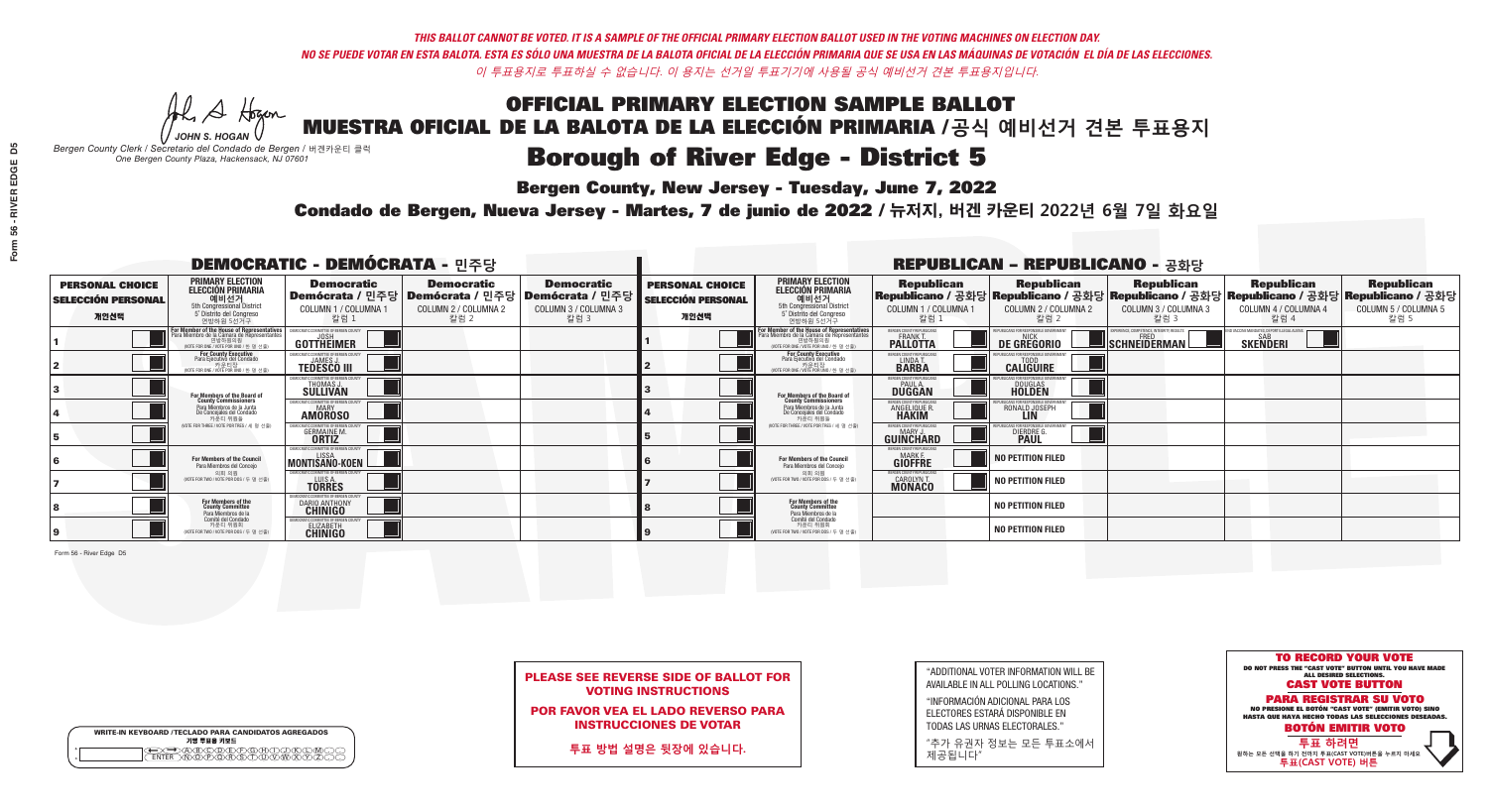A Hogen

| <b>WRITE-IN KEYBOARD /TECLADO PARA CANDIDATOS AGREGADOS</b><br>기명 투표용 키보드 |  |
|---------------------------------------------------------------------------|--|
| A)B)C)D)E)(F)(G)(H)(1<br><u>ጒ፝፟፟፟</u> ፟፝፟፟፟፝ዀ፝ዀ፝፟ዀ                        |  |

# **Borough of River Edge - District 5**

**Bergen County, New Jersey - Tuesday, June 7, 2022** 

*JOHN S. HOGAN Bergen County Clerk / Secretario del Condado de Bergen /* 버겐카운티 클럭 *One Bergen County Plaza, Hackensack, NJ 07601*

Condado de Bergen, Nueva Jersey - Martes, 7 de junio de 2022 / 뉴저지, 버겐 카운티 2022년 6월 7일 화요일 *One Bergen County Plaza, Hackensack, NJ 07601*



|                            |  |  |  | <b>PLEASE SEE REVERSE SIDE OF BALLOT FOR</b> |  |  |  |  |  |
|----------------------------|--|--|--|----------------------------------------------|--|--|--|--|--|
| <b>VOTING INSTRUCTIONS</b> |  |  |  |                                              |  |  |  |  |  |

POR FAVOR VEA EL LADO REVERSO PARA INSTRUCCIONES DE VOTAR

**투표 방법 설명은 뒷장에 있습니다.**

| "ADDITIONAL VOTER INFORMATION WILL BE |
|---------------------------------------|
| AVAILABLE IN ALL POLLING LOCATIONS."  |
|                                       |

"INFORMACIÓN ADICIONAL PARA LOS ELECTORES ESTARÁ DISPONIBLE EN TODAS LAS URNAS ELECTORALES."

"추가 유권자 정보는 모든 투표소에서 제공됩니다"

| <b>DEMOCRATIC - DEMÓCRATA - 민주당</b>                         |                                                                                                                                               |                                                                           |                                                   |                                                                                                        | <b>REPUBLICAN - REPUBLICANO - 공화당</b>                       |                                                                                                                                   |                                                                 |                                                                                                                                                |                                                   |                                                   |                                                   |
|-------------------------------------------------------------|-----------------------------------------------------------------------------------------------------------------------------------------------|---------------------------------------------------------------------------|---------------------------------------------------|--------------------------------------------------------------------------------------------------------|-------------------------------------------------------------|-----------------------------------------------------------------------------------------------------------------------------------|-----------------------------------------------------------------|------------------------------------------------------------------------------------------------------------------------------------------------|---------------------------------------------------|---------------------------------------------------|---------------------------------------------------|
| <b>PERSONAL CHOICE</b><br><b>SELECCIÓN PERSONAL</b><br>개인선택 | <b>PRIMARY ELECTION</b><br><b>ELECCIÓN PRIMARIA</b><br>예비선거<br><sup>5th Congressional District</sup><br>5° Distrito del Congreso<br>연방하원 5선거구 | <b>Democratic</b><br>COLUMN 1 / COLUMNA 1<br>칼럼 1                         | <b>Democratic</b><br>COLUMN 2 / COLUMNA 2<br>칼럼 2 | <b>Democratic</b><br>│Demócrata / 민주당│Demócrata / 민주당│Demócrata / 민주당┃<br>COLUMN 3 / COLUMNA 3<br>칼럼 3 | <b>PERSONAL CHOICE</b><br><b>SELECCIÓN PERSONAL</b><br>개인선택 | <b>PRIMARY ELECTION</b><br>ELECCIÓN PRIMARIA<br>5th Congressional District<br>5° Distrito del Congreso<br>연방하워 5선거구               | <b>Republican</b><br>COLUMN 1 / COLUMNA 1<br>칼럼 :               | <b>Republican</b><br>Republicano / 공화당 Republicano / 공화당 Republicano / 공화당 Republicano / 공화당 Republicano / 공화당<br>COLUMN 2 / COLUMNA 2<br>칼럼 2 | <b>Republican</b><br>COLUMN 3 / COLUMNA 3<br>칼럼 3 | <b>Republican</b><br>COLUMN 4 / COLUMNA 4<br>칼럼 4 | <b>Republican</b><br>COLUMN 5 / COLUMNA 5<br>칼럼 5 |
|                                                             | For Member of the House of Representatives<br>Para Miembro de la Cámara de Representantes<br>연방하원의원<br>(VOTE FOR ONE / VOTE POR UNO / 한 명 선출) | GOTTHEIMER                                                                |                                                   |                                                                                                        |                                                             | For Member of the House of Representatives<br>Para Miembro de la Cámara de Representantes<br>NOTE FOR ONE / VOTE POR UNO / 한 명 선출 | <b>FRGEN COUNTY REPUBLICAL</b><br><b>PALLOTTA</b>               | DE GREGORIO                                                                                                                                    | SCHNEIDERMAN                                      | <b>SKENDERI</b>                                   |                                                   |
|                                                             | <b>For County Executive</b><br>Para Ejecutivo del Condado<br>가운티장<br>(VOTE FOR ONE / VOTE POR UNO / 한 명 선출)                                   | JEMOCRATIC COMMITTEE OF BERGEN COUNTY<br><b>TEDESCO III</b>               |                                                   |                                                                                                        |                                                             | For County Executive<br>Para Ejecutivo del Condado<br>, 카운티장<br>(VOTE FOR ONE / VOTE POR UNO / 한 명 선출                             | BERGEN COUNTY REPUBLICAN<br>LINDAT.                             | <b>CALIGUIRE</b>                                                                                                                               |                                                   |                                                   |                                                   |
|                                                             | <b>For Members of the Board of<br/>County Commissioners</b>                                                                                   | MOCRATIC COMMITTEE OF BERGEN COUN:<br><b>THOMAS J.</b><br><b>SULLIVAN</b> |                                                   |                                                                                                        |                                                             | For Members of the Board of<br>County Commissioners                                                                               | ERGEN COUNTY REPUBLICAN<br><b>PAUL A.</b><br><b>DUGGAN</b>      | DOUGLAS<br>HOLDEN                                                                                                                              |                                                   |                                                   |                                                   |
|                                                             | Para Miembros de la Junta<br>De Concejales del Condado<br>카운티 위원들                                                                             | MOCRATIC COMMITTEE OF BERGEN COUNT:<br>MARY<br><b>AMOROSO</b>             |                                                   |                                                                                                        |                                                             | Para Miembros de la Junta<br>De Concejales del Condado<br>카운티 위원들                                                                 | ERGEN COUNTY REPUBLICAN<br><b>ANGELIQUE R<br/>HAKIM</b>         | RONALD JOSEPH                                                                                                                                  |                                                   |                                                   |                                                   |
|                                                             | NOTE FOR THREE / VOTE POR TRES / 세 명 선출)                                                                                                      | RATIC COMMITTEE OF RERGEN COLIN<br><b>GERMAINE M.</b>                     |                                                   |                                                                                                        |                                                             | (VOTE FOR THREE / VOTE POR TRES / 세 명 선출)                                                                                         | ERGEN COUNTY REPUBLICANS<br>GUINCHARD                           | DIERDRE <sup>(</sup>                                                                                                                           |                                                   |                                                   |                                                   |
|                                                             | For Members of the Council<br>Para Miembros del Conceio                                                                                       | EMOCRATIC COMMITTEE OF BERGEN COUNTY<br>MONTISANO-KOEN                    |                                                   |                                                                                                        |                                                             | <b>For Members of the Council</b><br>Para Miembros del Conceio                                                                    | BERGEN COUNTY REPUBLICANS<br><b>GIOFFRE</b>                     | <b>NO PETITION FILED</b>                                                                                                                       |                                                   |                                                   |                                                   |
|                                                             | 의회 의원<br>(VOTE FOR TWO / VOTE POR DOS / 두 명 선출)                                                                                               | JEMOCRATIC COMMITTEE OF BERGEN COUNTY<br><b>TORRES</b>                    |                                                   |                                                                                                        |                                                             | 의회 의원<br>WOTE FOR TWO / VOTE POR DOS / 두 명 선출)                                                                                    | BERGEN COUNTY REPUBLICANS<br><b>CAROLYN T.</b><br><b>MONACO</b> | $\ $ NO PETITION FILED                                                                                                                         |                                                   |                                                   |                                                   |
|                                                             | For Members of the<br>County Committee<br>Para Miembros de la                                                                                 | <b>10CRATIC COMMITTEE OF BERGEN CO</b><br>DARIO ANTHONY<br><b>CHINIGO</b> |                                                   |                                                                                                        |                                                             | For Members of the<br>County Committee<br>Para Miembros de la<br>Comité del Condado                                               |                                                                 | <b>NO PETITION FILED</b>                                                                                                                       |                                                   |                                                   |                                                   |
|                                                             | Comité del Condado<br>카운티 위원회<br>(VOTE FOR TWO / VOTE POR DOS / 두 명 선출)                                                                       | MOCRATIC COMMITTEE OF BERGEN COUN<br>ELIZABETH                            |                                                   |                                                                                                        |                                                             | 카운티 위원회<br>(VOTE FOR TWO / VOTE POR DOS / 두 명 선출)                                                                                 |                                                                 | <b>NO PETITION FILED</b>                                                                                                                       |                                                   |                                                   |                                                   |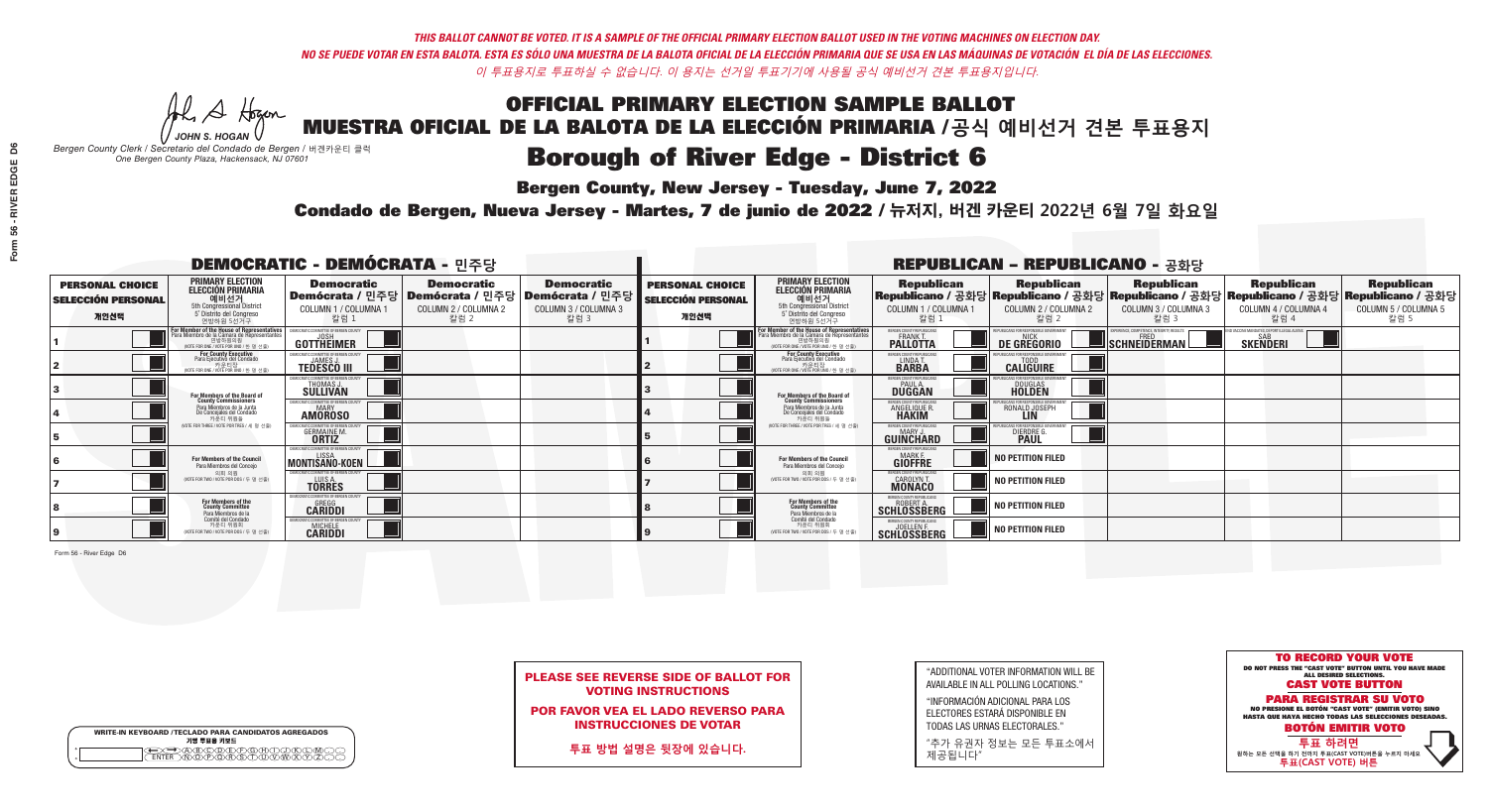A Hogen *JOHN S. HOGAN*

| <b>WRITE-IN KEYBOARD /TECLADO PARA CANDIDATOS AGREGADOS</b><br>기명 투표용 키보드 |  |
|---------------------------------------------------------------------------|--|
| A)B)C)D)E)(F)(G)(H)(1<br><u>ጒ፝፟፟፟</u> ፟፝፟፟፟፝ዀ፝ዀ፝፟ዀ                        |  |

# **Borough of River Edge - District 6**

**Bergen County, New Jersey - Tuesday, June 7, 2022** 

*Bergen County Clerk / Secretario del Condado de Bergen /* 버겐카운티 클럭 *One Bergen County Plaza, Hackensack, NJ 07601*



PLEASE SEE REVERSE SIDE OF BALLOT FOR VOTING INSTRUCTIONS

POR FAVOR VEA EL LADO REVERSO PARA INSTRUCCIONES DE VOTAR

**투표 방법 설명은 뒷장에 있습니다.**

"ADDITIONAL VOTER INFORMATION WILL BE AVAILABLE IN ALL POLLING LOCATIONS."

"INFORMACIÓN ADICIONAL PARA LOS ELECTORES ESTARÁ DISPONIBLE EN TODAS LAS URNAS ELECTORALES."

"추가 유권자 정보는 모든 투표소에서 제공됩니다"

Condado de Bergen, Nueva Jersey - Martes, 7 de junio de 2022 / 뉴저지, 버겐 카운티 2022년 6월 7일 화요일 *One Bergen County Plaza, Hackensack, NJ 07601*

| <b>DEMOCRATIC - DEMÓCRATA - 민주당</b>                         |                                                                                                                                    |                                                                                                        |                                                   |                                                   | <b>REPUBLICAN - REPUBLICANO - 공화당</b>                       |                                                                                                                     |                                                               |                                                                                                                                                |                                                   |                                                   |                                                   |
|-------------------------------------------------------------|------------------------------------------------------------------------------------------------------------------------------------|--------------------------------------------------------------------------------------------------------|---------------------------------------------------|---------------------------------------------------|-------------------------------------------------------------|---------------------------------------------------------------------------------------------------------------------|---------------------------------------------------------------|------------------------------------------------------------------------------------------------------------------------------------------------|---------------------------------------------------|---------------------------------------------------|---------------------------------------------------|
| <b>PERSONAL CHOICE</b><br><b>SELECCIÓN PERSONAL</b><br>개인선택 | <b>PRIMARY ELECTION</b><br><b>ELECCIÓN PRIMARIA</b><br>예비선거<br>5th Congressional District<br>5° Distrito del Congreso<br>연방하원 5선거구 | <b>Democratic</b><br>│Demócrata / 민주당│Demócrata / 민주당│Demócrata / 민주당│<br>COLUMN 1 / COLUMNA 1<br>칼럼 1 | <b>Democratic</b><br>COLUMN 2 / COLUMNA 2<br>칼럼 2 | <b>Democratic</b><br>COLUMN 3 / COLUMNA 3<br>칼럼 3 | <b>PERSONAL CHOICE</b><br><b>SELECCIÓN PERSONAL</b><br>개인선택 | <b>PRIMARY ELECTION</b><br>ELECCIÓN PRIMARIA<br>5th Congressional District<br>5° Distrito del Congreso<br>연방하원 5선거구 | <b>Republican</b><br>COLUMN 1 / COLUMNA 1<br>칼럼               | <b>Republican</b><br>Republicano / 공화당 Republicano / 공화당 Republicano / 공화당 Republicano / 공화당 Republicano / 공화당<br>COLUMN 2 / COLUMNA 2<br>칼럼 2 | <b>Republican</b><br>COLUMN 3 / COLUMNA 3<br>칼럼 3 | <b>Republican</b><br>COLUMN 4 / COLUMNA 4<br>칼럼 4 | <b>Republican</b><br>COLUMN 5 / COLUMNA 5<br>칼럼 5 |
|                                                             | For Member of the House of Representatives<br>Para Miembro de la Cámara de Representantes                                          | <b>GOTTHEIMER</b>                                                                                      |                                                   |                                                   |                                                             | For Member of the House of Representatives<br>Para Miembro de la Cámara de Representantes                           | BERGEN COUNTY REPUBLICAN<br><b>PALLOTTA</b>                   | DE GREGORIO                                                                                                                                    | SCHNEIDERMAN                                      | <b>SKENDERI</b>                                   |                                                   |
|                                                             | <b>For County Executive</b><br>Para Ejecutivo del Condado<br>WOTE FOR ONE / VOTE POR UNO / 한 명 선출)                                 | <b>TEDESCO III</b>                                                                                     |                                                   |                                                   |                                                             | <b>For County Executive</b><br>Para Ejecutivo del Condado<br>WOTE FOR ONE / VOTE POR UNO / 한 명 선출                   | BERGEN COUNTY REPUBLICA<br>LINDA T.                           | <b>CALIGUIRE</b>                                                                                                                               |                                                   |                                                   |                                                   |
|                                                             | For Members of the Board of<br>County Commissioners                                                                                | MOCRATIC COMMITTEE OF BERGEN CO<br>THOMAS J.                                                           |                                                   |                                                   |                                                             | For Members of the Board of<br>County Commissioners                                                                 | ERGEN COUNTY REPUBLICAN<br><b>PAUL A.</b><br><b>DUGGAN</b>    | <b>DOUGLAS</b>                                                                                                                                 |                                                   |                                                   |                                                   |
|                                                             | Para Miembros de la Junta<br>De Concejales del Condado<br>카운티 위원들                                                                  | MOCRATIC COMMITTEE OF BERGEN COUN'<br><b>MARY</b><br><b>AMOROSO</b>                                    |                                                   |                                                   |                                                             | Para Miembros de la Junta<br>De Concejales del Condado<br>카운티 위원들                                                   | ERGEN COUNTY REPUBLICAN<br><b>ANGELIQUE R.</b>                | RONALD JOSEPH                                                                                                                                  |                                                   |                                                   |                                                   |
|                                                             | NOTE FOR THREE / VOTE POR TRES / 세 명 선출)                                                                                           | <b>GERMAINE M.</b><br><b>ORTIZ</b>                                                                     |                                                   |                                                   |                                                             | NOTE FOR THREE / VOTE POR TRES / 세 명 선출)                                                                            | <b>ERGEN COUNTY REPUBLICAN</b><br>MARY J<br>GUINCHARD         | DIERDRE G                                                                                                                                      |                                                   |                                                   |                                                   |
|                                                             | <b>For Members of the Council</b><br>Para Miembros del Conceio                                                                     | MOCRATIC COMMITTEE OF BERGEN COUNTY:<br>MONTISANO-KOEN                                                 |                                                   |                                                   |                                                             | <b>For Members of the Council</b><br>Para Miembros del Conceio                                                      | <b>FRGEN COUNTY REPUBLICAN</b><br><b>GIOFFRE</b>              | $\ $ NO PETITION FILED                                                                                                                         |                                                   |                                                   |                                                   |
|                                                             | 의회 의원<br>(VOTE FOR TWO / VOTE POR DOS / 두 명 선출)                                                                                    | EMOCRATIC COMMITTEE OF BEBGEN COUNTY<br><b>TORRES</b>                                                  |                                                   |                                                   |                                                             | 의회 의원<br>NOTE FOR TWO / VOTE POR DOS / 두 명 선출)                                                                      | ERGEN COUNTY REPUBLICAN<br><b>CAROLYN T.</b><br><b>MONACO</b> | $\ \ $ NO PETITION FILED                                                                                                                       |                                                   |                                                   |                                                   |
|                                                             | For Members of the<br>County Committee<br>Para Miembros de la<br>Comité del Condado                                                | <b>MOCRATIC COMMITTEE OF BERGEN COUNT</b><br><b>CARIDDI</b>                                            |                                                   |                                                   |                                                             | For Members of the<br>County Committee<br>Para Miembros de la<br>Comité del Condado                                 | BERGEN COUNTY REPUBLICANS<br><b>SCHLOSSBERG</b>               | $\ $ NO PETITION FILED                                                                                                                         |                                                   |                                                   |                                                   |
|                                                             | 카운티 위원회<br>NOTE FOR TWO / VOTE POR DOS / 두 명 선출)                                                                                   | CRATIC COMMITTEE OF BERGEN COUNT<br><b>CARIDDI</b>                                                     |                                                   |                                                   |                                                             | 카운티 위원회<br>NOTE FOR TWO / VOTE POR DOS / 두 명 선출                                                                     | <b>BERGEN COUNTY REPUBLICANS</b><br><b>SCHLOSSBERG</b>        | $\ \ $ NO PETITION FILED                                                                                                                       |                                                   |                                                   |                                                   |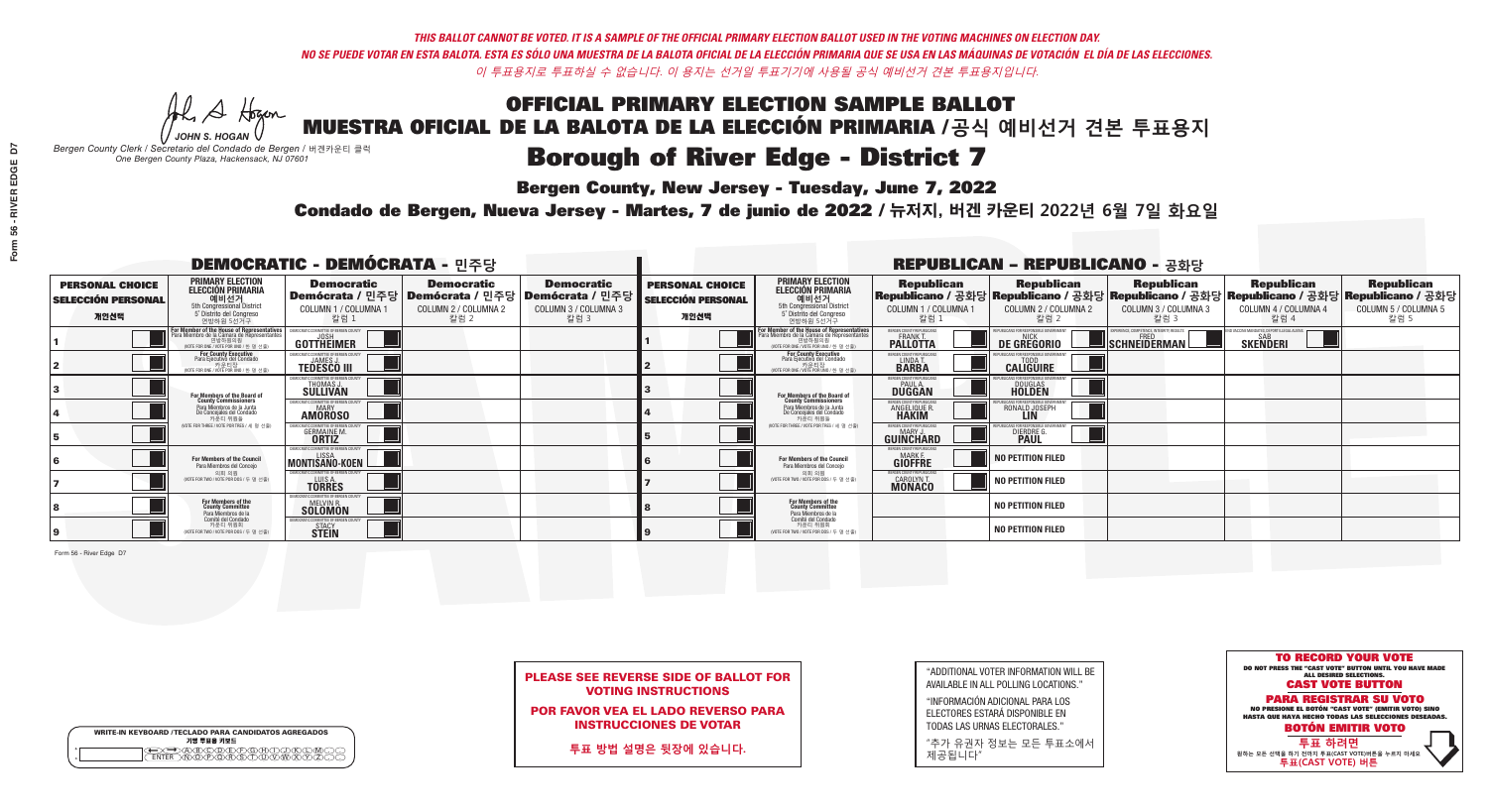A Hogen *JOHN S. HOGAN*

| <b>WRITE-IN KEYBOARD /TECLADO PARA CANDIDATOS AGREGADOS</b><br>기명 투표용 키보드 |  |
|---------------------------------------------------------------------------|--|
| A)B)C)D)E)(F)(G)(H)(1<br><u>ጒ፝፟፟፟</u> ፟፝፟፟፟፝ዀ፝ዀ፝፟ዀ፝                       |  |

# **Borough of River Edge - District 7**

**Bergen County, New Jersey - Tuesday, June 7, 2022** 

*Bergen County Clerk / Secretario del Condado de Bergen /* 버겐카운티 클럭 *One Bergen County Plaza, Hackensack, NJ 07601*

Condado de Bergen, Nueva Jersey - Martes, 7 de junio de 2022 / 뉴저지, 버겐 카운티 2022년 6월 7일 화요일 *One Bergen County Plaza, Hackensack, NJ 07601*



PLEASE SEE REVERSE SIDE OF BALLOT FOR VOTING INSTRUCTIONS

POR FAVOR VEA EL LADO REVERSO PARA INSTRUCCIONES DE VOTAR

**투표 방법 설명은 뒷장에 있습니다.**

| "ADDITIONAL VOTER INFORMATION WILL BE |
|---------------------------------------|
| AVAILABLE IN ALL POLLING LOCATIONS."  |

"INFORMACIÓN ADICIONAL PARA LOS ELECTORES ESTARÁ DISPONIBLE EN TODAS LAS URNAS ELECTORALES."

"추가 유권자 정보는 모든 투표소에서 제공됩니다"

| <b>DEMOCRATIC - DEMÓCRATA - 민주당</b>                         |                                                                                                                                    |                                                                            |                                                   |                                                                                                        | <b>REPUBLICAN - REPUBLICANO - 공화당</b>                       |                                                                                                                                    |                                                                 |                                                                                                                                                |                                                   |                                                   |                                                   |
|-------------------------------------------------------------|------------------------------------------------------------------------------------------------------------------------------------|----------------------------------------------------------------------------|---------------------------------------------------|--------------------------------------------------------------------------------------------------------|-------------------------------------------------------------|------------------------------------------------------------------------------------------------------------------------------------|-----------------------------------------------------------------|------------------------------------------------------------------------------------------------------------------------------------------------|---------------------------------------------------|---------------------------------------------------|---------------------------------------------------|
| <b>PERSONAL CHOICE</b><br><b>SELECCIÓN PERSONAL</b><br>개인선택 | <b>PRIMARY ELECTION</b><br><b>ELECCIÓN PRIMARIA</b><br>예비선거<br>5th Congressional District<br>5° Distrito del Congreso<br>연방하원 5선거구 | <b>Democratic</b><br>COLUMN 1 / COLUMNA 1<br>칼럼 1                          | <b>Democratic</b><br>COLUMN 2 / COLUMNA 2<br>칼럼 2 | <b>Democratic</b><br>│Demócrata / 민주당│Demócrata / 민주당│Demócrata / 민주당┃<br>COLUMN 3 / COLUMNA 3<br>칼럼 3 | <b>PERSONAL CHOICE</b><br><b>SELECCIÓN PERSONAL</b><br>개인선택 | <b>PRIMARY ELECTION</b><br><b>ELECCIÓN PRIMARIA</b><br>예비선거<br>5th Congressional District<br>5° Distrito del Congreso<br>연방하원 5선거구 | <b>Republican</b><br>COLUMN 1 / COLUMNA 1<br>칼럼 1               | <b>Republican</b><br>Republicano / 공화당 Republicano / 공화당 Republicano / 공화당 Republicano / 공화당 Republicano / 공화당<br>COLUMN 2 / COLUMNA 2<br>칼럼 2 | <b>Republican</b><br>COLUMN 3 / COLUMNA 3<br>칼럼 3 | <b>Republican</b><br>COLUMN 4 / COLUMNA 4<br>칼럼 4 | <b>Republican</b><br>COLUMN 5 / COLUMNA 5<br>칼럼 5 |
|                                                             | For Member of the House of Representatives<br>Para Miembro de la Cámara de Representantes                                          | <b>GOTTHEIMER</b>                                                          |                                                   |                                                                                                        |                                                             | For Member of the House of Representatives<br>Para Miembro de la Cámara de Representantes<br>NOTE FOR ONE / VOTE POR UNO / 한 명 선출  | ERGEN COUNTY REPUBLICAN®<br><b>PALLOTTA</b>                     | DE GREGORIO                                                                                                                                    | SCHNEIDERMAN                                      | <b>SKENDERI</b>                                   |                                                   |
|                                                             | <b>For County Executive</b><br>Para Ejecutivo del Condado<br>WOTE FOR ONE / VOTE POR UNO / 한 명 선출)                                 | <b>TEDESCO III</b>                                                         |                                                   |                                                                                                        |                                                             | <b>For County Executive</b><br>Para Ejecutivo del Condado<br>. 카운티장<br>(VOTE FOR ONE / VOTE POR UNO / 한 명 선출                       | BERGEN COUNTY REPUBLICAN<br>LINDA T.                            | <b>CALIGUIRE</b>                                                                                                                               |                                                   |                                                   |                                                   |
|                                                             | <b>For Members of the Board of<br/>County Commissioners</b>                                                                        | EMOCRATIC COMMITTEE OF BERGEN COUNT<br><b>THOMAS J.</b><br><b>SULLIVAN</b> |                                                   |                                                                                                        |                                                             | For Members of the Board of<br>County Commissioners                                                                                | ERGEN COUNTY REPUBLICAN<br><b>DUGGAN</b>                        | <b>DOUGLAS</b>                                                                                                                                 |                                                   |                                                   |                                                   |
|                                                             | Para Miembros de la Junta<br>De Concejales del Condado<br>카운티 위원들                                                                  | MOCRATIC COMMITTEE OF BERGEN COUNT<br><b>AMOROSO</b>                       |                                                   |                                                                                                        |                                                             | Para Miembros de la Junta<br>De Concejales del Condado<br>카운티 위원들                                                                  | ERGEN COUNTY REPUBLICAN<br><b>ANGELIQUE R</b><br><b>HAKIM</b>   | RONALD JOSEPH                                                                                                                                  |                                                   |                                                   |                                                   |
|                                                             | (VOTE FOR THREE / VOTE POR TRES / 세 명 선출)                                                                                          | <b>GERMAINE M.</b>                                                         |                                                   |                                                                                                        |                                                             | (VOTE FOR THREE / VOTE POR TRES / 세 명 선출)                                                                                          | ERGEN COUNTY REPUBLICAN:<br>GUINCHARD                           | <b>DIERDRE</b>                                                                                                                                 |                                                   |                                                   |                                                   |
|                                                             | <b>For Members of the Council</b><br>Para Miembros del Conceio                                                                     | EMOCRATIC COMMITTEE OF BERGEN COUNTY<br>MONTISANO-KOEN                     |                                                   |                                                                                                        |                                                             | <b>For Members of the Council</b><br>Para Miembros del Conceio                                                                     | BERGEN COUNTY REPUBLICANS<br><b>GIOFFRE</b>                     | NO PETITION FILED                                                                                                                              |                                                   |                                                   |                                                   |
|                                                             | 의회 의원<br>(VOTE FOR TWO / VOTE POR DOS / 두 명 선출)                                                                                    | )EMOCRATIC COMMITTEE OF BERGEN COUNTY<br><b>TORRES</b>                     |                                                   |                                                                                                        |                                                             | 의회 의원<br>NOTE FOR TWO / VOTE POR DOS / 두 명 선출)                                                                                     | BERGEN COUNTY REPUBLICANS<br><b>CAROLYN T.</b><br><b>MONACO</b> | $\ $ NO PETITION FILED                                                                                                                         |                                                   |                                                   |                                                   |
|                                                             | For Members of the<br>County Committee<br>Para Miembros de la                                                                      | CRATIC COMMITTEE OF BERGEN CO<br><b>SOLOMON</b>                            |                                                   |                                                                                                        |                                                             | For Members of the<br>County Committee<br>Para Miembros de la<br>Comité del Condado                                                |                                                                 | <b>NO PETITION FILED</b>                                                                                                                       |                                                   |                                                   |                                                   |
|                                                             | Comité del Condado<br>카운티 위원회<br>(VOTE FOR TWO / VOTE POR DOS / 두 명 선출)                                                            | 10CRATIC COMMITTEE OF BERGEN COUNT<br><b>STACY</b><br><b>STEIN</b>         |                                                   |                                                                                                        |                                                             | 카운티 위원회<br>(VOTE FOR TWO / VOTE POR DOS / 두 명 선출)                                                                                  |                                                                 | <b>NO PETITION FILED</b>                                                                                                                       |                                                   |                                                   |                                                   |